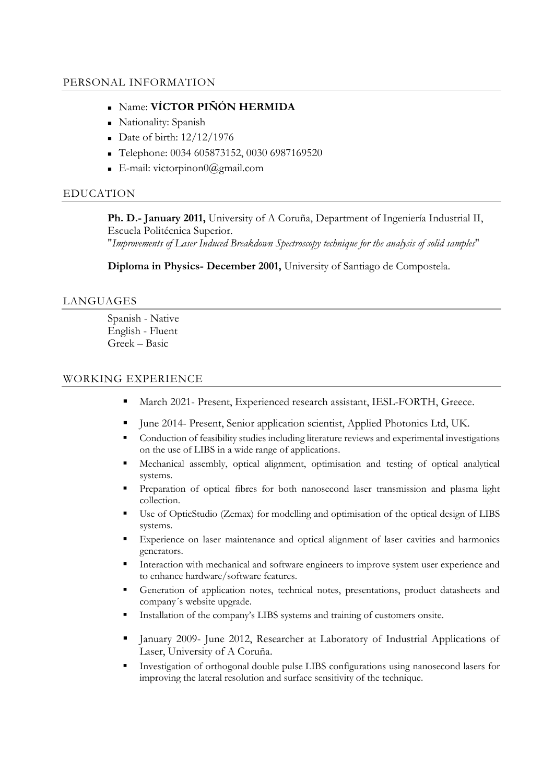# PERSONAL INFORMATION

- Name: **VÍCTOR PIÑÓN HERMIDA**
- Nationality: Spanish
- Date of birth:  $12/12/1976$
- Telephone: 0034 605873152, 0030 6987169520
- E-mail: victorpinon $0$ @gmail.com

# EDUCATION

**Ph. D.- January 2011,** University of A Coruña, Department of Ingeniería Industrial II, Escuela Politécnica Superior. "*Improvements of Laser Induced Breakdown Spectroscopy technique for the analysis of solid samples*"

**Diploma in Physics- December 2001,** University of Santiago de Compostela.

# LANGUAGES

Spanish - Native English - Fluent Greek – Basic

## WORKING EXPERIENCE

- March 2021- Present, Experienced research assistant, IESL-FORTH, Greece.
- June 2014- Present, Senior application scientist, Applied Photonics Ltd, UK.
- Conduction of feasibility studies including literature reviews and experimental investigations on the use of LIBS in a wide range of applications.
- Mechanical assembly, optical alignment, optimisation and testing of optical analytical systems.
- Preparation of optical fibres for both nanosecond laser transmission and plasma light collection.
- Use of OpticStudio (Zemax) for modelling and optimisation of the optical design of LIBS systems.
- Experience on laser maintenance and optical alignment of laser cavities and harmonics generators.
- Interaction with mechanical and software engineers to improve system user experience and to enhance hardware/software features.
- Generation of application notes, technical notes, presentations, product datasheets and company´s website upgrade.
- Installation of the company's LIBS systems and training of customers onsite.
- January 2009- June 2012, Researcher at Laboratory of Industrial Applications of Laser, University of A Coruña.
- Investigation of orthogonal double pulse LIBS configurations using nanosecond lasers for improving the lateral resolution and surface sensitivity of the technique.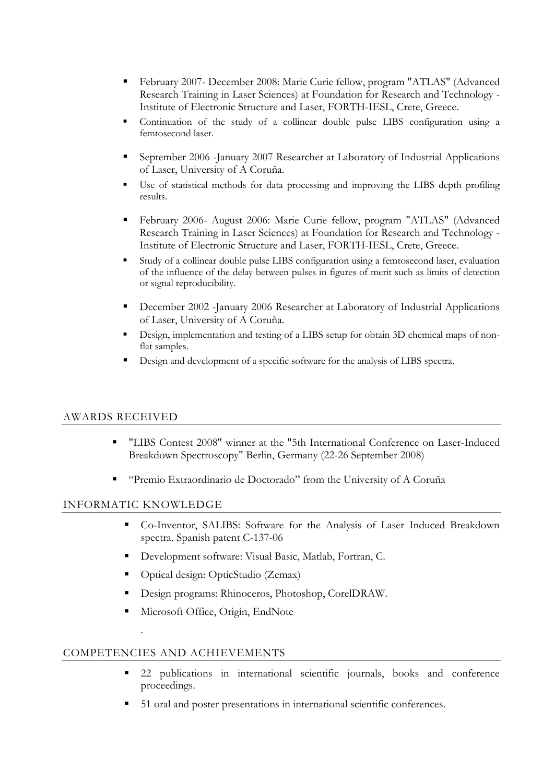- February 2007- December 2008: Marie Curie fellow, program "ATLAS" (Advanced Research Training in Laser Sciences) at Foundation for Research and Technology - Institute of Electronic Structure and Laser, FORTH-IESL, Crete, Greece.
- Continuation of the study of a collinear double pulse LIBS configuration using a femtosecond laser.
- September 2006 -January 2007 Researcher at Laboratory of Industrial Applications of Laser, University of A Coruña.
- Use of statistical methods for data processing and improving the LIBS depth profiling results.
- February 2006- August 2006: Marie Curie fellow, program "ATLAS" (Advanced Research Training in Laser Sciences) at Foundation for Research and Technology - Institute of Electronic Structure and Laser, FORTH-IESL, Crete, Greece.
- Study of a collinear double pulse LIBS configuration using a femtosecond laser, evaluation of the influence of the delay between pulses in figures of merit such as limits of detection or signal reproducibility.
- December 2002 -January 2006 Researcher at Laboratory of Industrial Applications of Laser, University of A Coruña.
- Design, implementation and testing of a LIBS setup for obtain 3D chemical maps of nonflat samples.
- Design and development of a specific software for the analysis of LIBS spectra.

## AWARDS RECEIVED

- "LIBS Contest 2008" winner at the "5th International Conference on Laser-Induced Breakdown Spectroscopy" Berlin, Germany (22-26 September 2008)
- "Premio Extraordinario de Doctorado" from the University of A Coruña

# INFORMATIC KNOWLEDGE

.

- Co-Inventor, SALIBS: Software for the Analysis of Laser Induced Breakdown spectra. Spanish patent C-137-06
- Development software: Visual Basic, Matlab, Fortran, C.
- Optical design: OpticStudio (Zemax)
- Design programs: Rhinoceros, Photoshop, CorelDRAW.
- Microsoft Office, Origin, EndNote

## COMPETENCIES AND ACHIEVEMENTS

- 22 publications in international scientific journals, books and conference proceedings.
- 51 oral and poster presentations in international scientific conferences.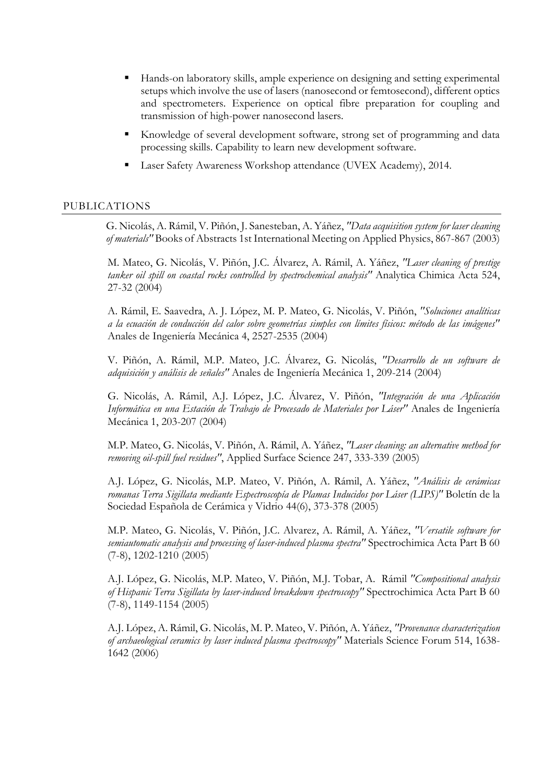- Hands-on laboratory skills, ample experience on designing and setting experimental setups which involve the use of lasers (nanosecond or femtosecond), different optics and spectrometers. Experience on optical fibre preparation for coupling and transmission of high-power nanosecond lasers.
- Knowledge of several development software, strong set of programming and data processing skills. Capability to learn new development software.
- Laser Safety Awareness Workshop attendance (UVEX Academy), 2014.

# PUBLICATIONS

G. Nicolás, A. Rámil, V. Piñón, J. Sanesteban, A. Yáñez, *"Data acquisition system for laser cleaning of materials"* Books of Abstracts 1st International Meeting on Applied Physics, 867-867 (2003)

M. Mateo, G. Nicolás, V. Piñón, J.C. Álvarez, A. Rámil, A. Yáñez, *"Laser cleaning of prestige tanker oil spill on coastal rocks controlled by spectrochemical analysis"* Analytica Chimica Acta 524, 27-32 (2004)

A. Rámil, E. Saavedra, A. J. López, M. P. Mateo, G. Nicolás, V. Piñón, *"Soluciones analíticas a la ecuación de conducción del calor sobre geometrías simples con límites físicos: método de las imágenes"* Anales de Ingeniería Mecánica 4, 2527-2535 (2004)

V. Piñón, A. Rámil, M.P. Mateo, J.C. Álvarez, G. Nicolás, *"Desarrollo de un software de adquisición y análisis de señales"* Anales de Ingeniería Mecánica 1, 209-214 (2004)

G. Nicolás, A. Rámil, A.J. López, J.C. Álvarez, V. Piñón, *"Integración de una Aplicación Informática en una Estación de Trabajo de Procesado de Materiales por Láser"* Anales de Ingeniería Mecánica 1, 203-207 (2004)

M.P. Mateo, G. Nicolás, V. Piñón, A. Rámil, A. Yáñez, *"Laser cleaning: an alternative method for removing oil-spill fuel residues"*, Applied Surface Science 247, 333-339 (2005)

A.J. López, G. Nicolás, M.P. Mateo, V. Piñón, A. Rámil, A. Yáñez, *"Análisis de cerámicas romanas Terra Sigillata mediante Espectroscopía de Plamas Inducidos por Láser (LIPS)"* Boletín de la Sociedad Española de Cerámica y Vidrio 44(6), 373-378 (2005)

M.P. Mateo, G. Nicolás, V. Piñón, J.C. Alvarez, A. Rámil, A. Yáñez, *"Versatile software for semiautomatic analysis and processing of laser-induced plasma spectra"* Spectrochimica Acta Part B 60 (7-8), 1202-1210 (2005)

A.J. López, G. Nicolás, M.P. Mateo, V. Piñón, M.J. Tobar, A. Rámil *"Compositional analysis of Hispanic Terra Sigillata by laser-induced breakdown spectroscopy"* Spectrochimica Acta Part B 60 (7-8), 1149-1154 (2005)

A.J. López, A. Rámil, G. Nicolás, M. P. Mateo, V. Piñón, A. Yáñez, *"Provenance characterization of archaeological ceramics by laser induced plasma spectroscopy"* Materials Science Forum 514, 1638- 1642 (2006)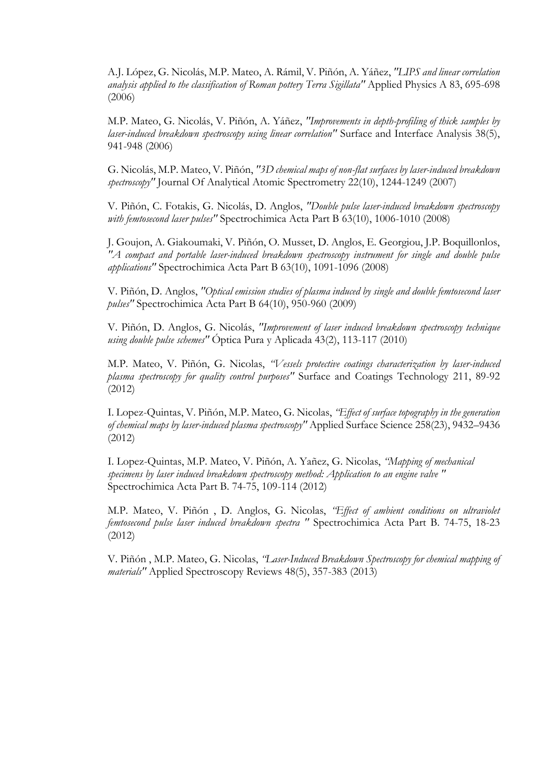A.J. López, G. Nicolás, M.P. Mateo, A. Rámil, V. Piñón, A. Yáñez, *"LIPS and linear correlation analysis applied to the classification of Roman pottery Terra Sigillata"* Applied Physics A 83, 695-698 (2006)

M.P. Mateo, G. Nicolás, V. Piñón, A. Yáñez, *"Improvements in depth-profiling of thick samples by laser-induced breakdown spectroscopy using linear correlation"* Surface and Interface Analysis 38(5), 941-948 (2006)

G. Nicolás, M.P. Mateo, V. Piñón, *"3D chemical maps of non-flat surfaces by laser-induced breakdown spectroscopy"* Journal Of Analytical Atomic Spectrometry 22(10), 1244-1249 (2007)

V. Piñón, C. Fotakis, G. Nicolás, D. Anglos, *"Double pulse laser-induced breakdown spectroscopy with femtosecond laser pulses"* Spectrochimica Acta Part B 63(10), 1006-1010 (2008)

J. Goujon, A. Giakoumaki, V. Piñón, O. Musset, D. Anglos, E. Georgiou, J.P. Boquillonlos, *"A compact and portable laser-induced breakdown spectroscopy instrument for single and double pulse applications"* Spectrochimica Acta Part B 63(10), 1091-1096 (2008)

V. Piñón, D. Anglos, *"Optical emission studies of plasma induced by single and double femtosecond laser pulses"* Spectrochimica Acta Part B 64(10), 950-960 (2009)

V. Piñón, D. Anglos, G. Nicolás, *"Improvement of laser induced breakdown spectroscopy technique using double pulse schemes"* Óptica Pura y Aplicada 43(2), 113-117 (2010)

 M.P. Mateo, V. Piñón, G. Nicolas, *"Vessels protective coatings characterization by laser-induced plasma spectroscopy for quality control purposes"* Surface and Coatings Technology 211, 89-92 (2012)

I. Lopez-Quintas, V. Piñón, M.P. Mateo, G. Nicolas, *"Effect of surface topography in the generation of chemical maps by laser-induced plasma spectroscopy"* Applied Surface Science 258(23), 9432–9436 (2012)

 I. Lopez-Quintas, M.P. Mateo, V. Piñón, A. Yañez, G. Nicolas, *"Mapping of mechanical specimens by laser induced breakdown spectroscopy method: Application to an engine valve "* Spectrochimica Acta Part B. 74-75, 109-114 (2012)

 M.P. Mateo, V. Piñón , D. Anglos, G. Nicolas, *"Effect of ambient conditions on ultraviolet femtosecond pulse laser induced breakdown spectra "* Spectrochimica Acta Part B. 74-75, 18-23 (2012)

 V. Piñón , M.P. Mateo, G. Nicolas, *"Laser-Induced Breakdown Spectroscopy for chemical mapping of materials"* Applied Spectroscopy Reviews 48(5), 357-383 (2013)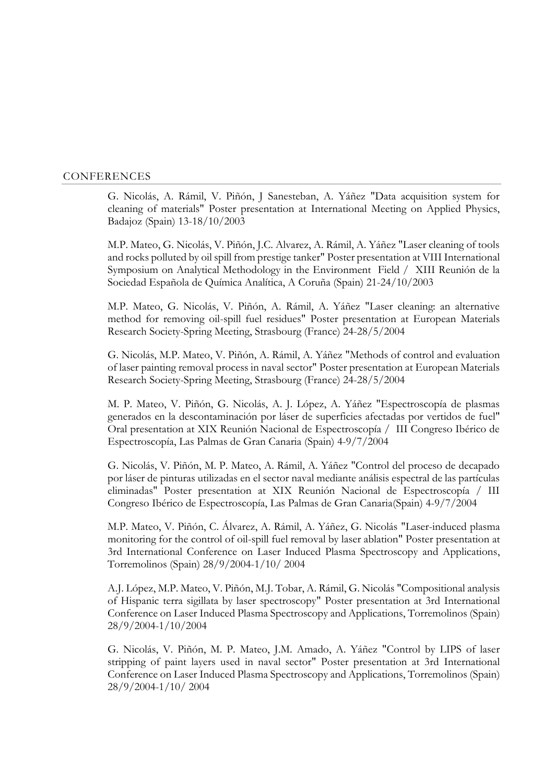#### CONFERENCES

G. Nicolás, A. Rámil, V. Piñón, J Sanesteban, A. Yáñez "Data acquisition system for cleaning of materials" Poster presentation at International Meeting on Applied Physics, Badajoz (Spain) 13-18/10/2003

M.P. Mateo, G. Nicolás, V. Piñón, J.C. Alvarez, A. Rámil, A. Yáñez "Laser cleaning of tools and rocks polluted by oil spill from prestige tanker" Poster presentation at VIII International Symposium on Analytical Methodology in the Environment Field / XIII Reunión de la Sociedad Española de Química Analítica, A Coruña (Spain) 21-24/10/2003

M.P. Mateo, G. Nicolás, V. Piñón, A. Rámil, A. Yáñez "Laser cleaning: an alternative method for removing oil-spill fuel residues" Poster presentation at European Materials Research Society-Spring Meeting, Strasbourg (France) 24-28/5/2004

G. Nicolás, M.P. Mateo, V. Piñón, A. Rámil, A. Yáñez "Methods of control and evaluation of laser painting removal process in naval sector" Poster presentation at European Materials Research Society-Spring Meeting, Strasbourg (France) 24-28/5/2004

M. P. Mateo, V. Piñón, G. Nicolás, A. J. López, A. Yáñez "Espectroscopía de plasmas generados en la descontaminación por láser de superficies afectadas por vertidos de fuel" Oral presentation at XIX Reunión Nacional de Espectroscopía / III Congreso Ibérico de Espectroscopía, Las Palmas de Gran Canaria (Spain) 4-9/7/2004

G. Nicolás, V. Piñón, M. P. Mateo, A. Rámil, A. Yáñez "Control del proceso de decapado por láser de pinturas utilizadas en el sector naval mediante análisis espectral de las partículas eliminadas" Poster presentation at XIX Reunión Nacional de Espectroscopía / III Congreso Ibérico de Espectroscopía, Las Palmas de Gran Canaria(Spain) 4-9/7/2004

M.P. Mateo, V. Piñón, C. Álvarez, A. Rámil, A. Yáñez, G. Nicolás "Laser-induced plasma monitoring for the control of oil-spill fuel removal by laser ablation" Poster presentation at 3rd International Conference on Laser Induced Plasma Spectroscopy and Applications, Torremolinos (Spain) 28/9/2004-1/10/ 2004

A.J. López, M.P. Mateo, V. Piñón, M.J. Tobar, A. Rámil, G. Nicolás "Compositional analysis of Hispanic terra sigillata by laser spectroscopy" Poster presentation at 3rd International Conference on Laser Induced Plasma Spectroscopy and Applications, Torremolinos (Spain) 28/9/2004-1/10/2004

G. Nicolás, V. Piñón, M. P. Mateo, J.M. Amado, A. Yáñez "Control by LIPS of laser stripping of paint layers used in naval sector" Poster presentation at 3rd International Conference on Laser Induced Plasma Spectroscopy and Applications, Torremolinos (Spain) 28/9/2004-1/10/ 2004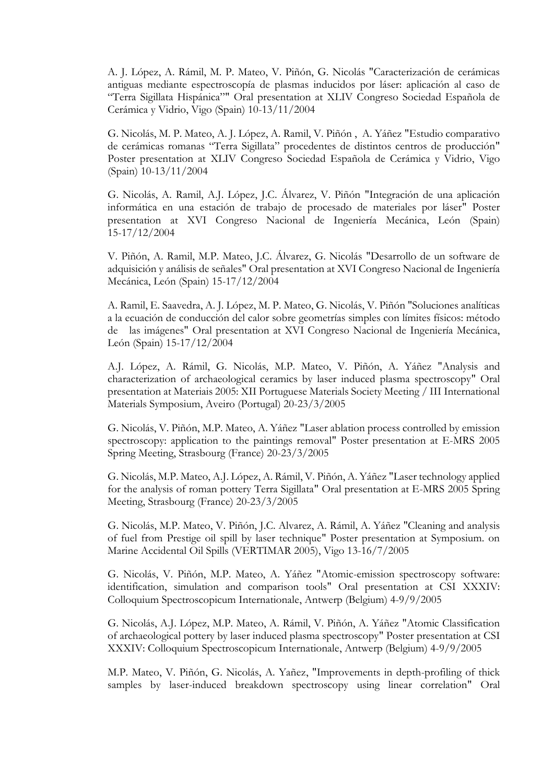A. J. López, A. Rámil, M. P. Mateo, V. Piñón, G. Nicolás "Caracterización de cerámicas antiguas mediante espectroscopía de plasmas inducidos por láser: aplicación al caso de "Terra Sigillata Hispánica"" Oral presentation at XLIV Congreso Sociedad Española de Cerámica y Vidrio, Vigo (Spain) 10-13/11/2004

G. Nicolás, M. P. Mateo, A. J. López, A. Ramil, V. Piñón , A. Yáñez "Estudio comparativo de cerámicas romanas "Terra Sigillata" procedentes de distintos centros de producción" Poster presentation at XLIV Congreso Sociedad Española de Cerámica y Vidrio, Vigo (Spain) 10-13/11/2004

G. Nicolás, A. Ramil, A.J. López, J.C. Álvarez, V. Piñón "Integración de una aplicación informática en una estación de trabajo de procesado de materiales por láser" Poster presentation at XVI Congreso Nacional de Ingeniería Mecánica, León (Spain) 15-17/12/2004

V. Piñón, A. Ramil, M.P. Mateo, J.C. Álvarez, G. Nicolás "Desarrollo de un software de adquisición y análisis de señales" Oral presentation at XVI Congreso Nacional de Ingeniería Mecánica, León (Spain) 15-17/12/2004

A. Ramil, E. Saavedra, A. J. López, M. P. Mateo, G. Nicolás, V. Piñón "Soluciones analíticas a la ecuación de conducción del calor sobre geometrías simples con límites físicos: método de las imágenes" Oral presentation at XVI Congreso Nacional de Ingeniería Mecánica, León (Spain) 15-17/12/2004

A.J. López, A. Rámil, G. Nicolás, M.P. Mateo, V. Piñón, A. Yáñez "Analysis and characterization of archaeological ceramics by laser induced plasma spectroscopy" Oral presentation at Materiais 2005: XII Portuguese Materials Society Meeting / III International Materials Symposium, Aveiro (Portugal) 20-23/3/2005

G. Nicolás, V. Piñón, M.P. Mateo, A. Yáñez "Laser ablation process controlled by emission spectroscopy: application to the paintings removal" Poster presentation at E-MRS 2005 Spring Meeting, Strasbourg (France) 20-23/3/2005

G. Nicolás, M.P. Mateo, A.J. López, A. Rámil, V. Piñón, A. Yáñez "Laser technology applied for the analysis of roman pottery Terra Sigillata" Oral presentation at E-MRS 2005 Spring Meeting, Strasbourg (France) 20-23/3/2005

G. Nicolás, M.P. Mateo, V. Piñón, J.C. Alvarez, A. Rámil, A. Yáñez "Cleaning and analysis of fuel from Prestige oil spill by laser technique" Poster presentation at Symposium. on Marine Accidental Oil Spills (VERTIMAR 2005), Vigo 13-16/7/2005

G. Nicolás, V. Piñón, M.P. Mateo, A. Yáñez "Atomic-emission spectroscopy software: identification, simulation and comparison tools" Oral presentation at CSI XXXIV: Colloquium Spectroscopicum Internationale, Antwerp (Belgium) 4-9/9/2005

G. Nicolás, A.J. López, M.P. Mateo, A. Rámil, V. Piñón, A. Yáñez "Atomic Classification of archaeological pottery by laser induced plasma spectroscopy" Poster presentation at CSI XXXIV: Colloquium Spectroscopicum Internationale, Antwerp (Belgium) 4-9/9/2005

M.P. Mateo, V. Piñón, G. Nicolás, A. Yañez, "Improvements in depth-profiling of thick samples by laser-induced breakdown spectroscopy using linear correlation" Oral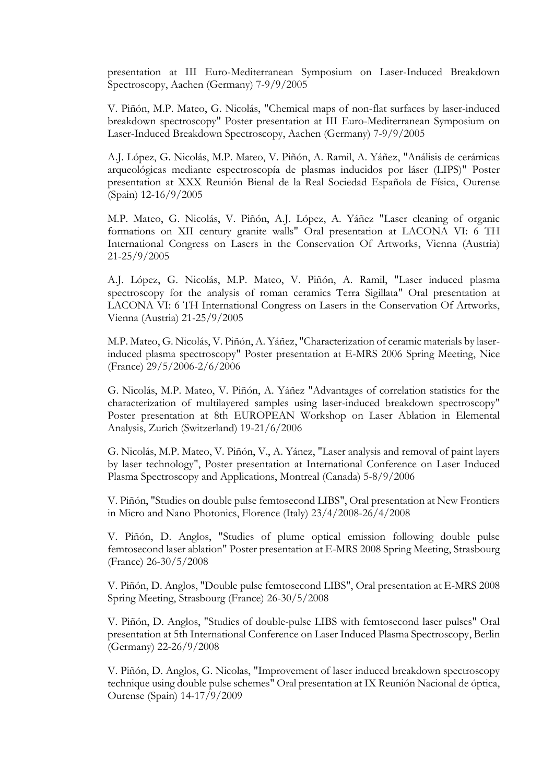presentation at III Euro-Mediterranean Symposium on Laser-Induced Breakdown Spectroscopy, Aachen (Germany) 7-9/9/2005

V. Piñón, M.P. Mateo, G. Nicolás, "Chemical maps of non-flat surfaces by laser-induced breakdown spectroscopy" Poster presentation at III Euro-Mediterranean Symposium on Laser-Induced Breakdown Spectroscopy, Aachen (Germany) 7-9/9/2005

A.J. López, G. Nicolás, M.P. Mateo, V. Piñón, A. Ramil, A. Yáñez, "Análisis de cerámicas arqueológicas mediante espectroscopía de plasmas inducidos por láser (LIPS)" Poster presentation at XXX Reunión Bienal de la Real Sociedad Española de Física, Ourense (Spain) 12-16/9/2005

M.P. Mateo, G. Nicolás, V. Piñón, A.J. López, A. Yáñez "Laser cleaning of organic formations on XII century granite walls" Oral presentation at LACONA VI: 6 TH International Congress on Lasers in the Conservation Of Artworks, Vienna (Austria) 21-25/9/2005

A.J. López, G. Nicolás, M.P. Mateo, V. Piñón, A. Ramil, "Laser induced plasma spectroscopy for the analysis of roman ceramics Terra Sigillata" Oral presentation at LACONA VI: 6 TH International Congress on Lasers in the Conservation Of Artworks, Vienna (Austria) 21-25/9/2005

M.P. Mateo, G. Nicolás, V. Piñón, A. Yáñez, "Characterization of ceramic materials by laserinduced plasma spectroscopy" Poster presentation at E-MRS 2006 Spring Meeting, Nice (France) 29/5/2006-2/6/2006

G. Nicolás, M.P. Mateo, V. Piñón, A. Yáñez "Advantages of correlation statistics for the characterization of multilayered samples using laser-induced breakdown spectroscopy" Poster presentation at 8th EUROPEAN Workshop on Laser Ablation in Elemental Analysis, Zurich (Switzerland) 19-21/6/2006

G. Nicolás, M.P. Mateo, V. Piñón, V., A. Yánez, "Laser analysis and removal of paint layers by laser technology", Poster presentation at International Conference on Laser Induced Plasma Spectroscopy and Applications, Montreal (Canada) 5-8/9/2006

V. Piñón, "Studies on double pulse femtosecond LIBS", Oral presentation at New Frontiers in Micro and Nano Photonics, Florence (Italy) 23/4/2008-26/4/2008

V. Piñón, D. Anglos, "Studies of plume optical emission following double pulse femtosecond laser ablation" Poster presentation at E-MRS 2008 Spring Meeting, Strasbourg (France) 26-30/5/2008

V. Piñón, D. Anglos, "Double pulse femtosecond LIBS", Oral presentation at E-MRS 2008 Spring Meeting, Strasbourg (France) 26-30/5/2008

V. Piñón, D. Anglos, "Studies of double-pulse LIBS with femtosecond laser pulses" Oral presentation at 5th International Conference on Laser Induced Plasma Spectroscopy, Berlin (Germany) 22-26/9/2008

V. Piñón, D. Anglos, G. Nicolas, "Improvement of laser induced breakdown spectroscopy technique using double pulse schemes" Oral presentation at IX Reunión Nacional de óptica, Ourense (Spain) 14-17/9/2009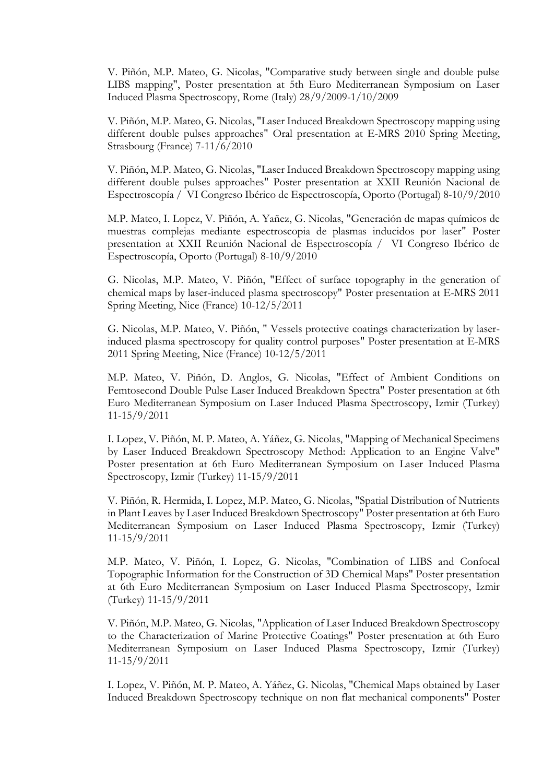V. Piñón, M.P. Mateo, G. Nicolas, "Comparative study between single and double pulse LIBS mapping", Poster presentation at 5th Euro Mediterranean Symposium on Laser Induced Plasma Spectroscopy, Rome (Italy) 28/9/2009-1/10/2009

V. Piñón, M.P. Mateo, G. Nicolas, "Laser Induced Breakdown Spectroscopy mapping using different double pulses approaches" Oral presentation at E-MRS 2010 Spring Meeting, Strasbourg (France) 7-11/6/2010

V. Piñón, M.P. Mateo, G. Nicolas, "Laser Induced Breakdown Spectroscopy mapping using different double pulses approaches" Poster presentation at XXII Reunión Nacional de Espectroscopía / VI Congreso Ibérico de Espectroscopía, Oporto (Portugal) 8-10/9/2010

M.P. Mateo, I. Lopez, V. Piñón, A. Yañez, G. Nicolas, "Generación de mapas químicos de muestras complejas mediante espectroscopia de plasmas inducidos por laser" Poster presentation at XXII Reunión Nacional de Espectroscopía / VI Congreso Ibérico de Espectroscopía, Oporto (Portugal) 8-10/9/2010

G. Nicolas, M.P. Mateo, V. Piñón, "Effect of surface topography in the generation of chemical maps by laser-induced plasma spectroscopy" Poster presentation at E-MRS 2011 Spring Meeting, Nice (France) 10-12/5/2011

G. Nicolas, M.P. Mateo, V. Piñón, " Vessels protective coatings characterization by laserinduced plasma spectroscopy for quality control purposes" Poster presentation at E-MRS 2011 Spring Meeting, Nice (France) 10-12/5/2011

M.P. Mateo, V. Piñón, D. Anglos, G. Nicolas, "Effect of Ambient Conditions on Femtosecond Double Pulse Laser Induced Breakdown Spectra" Poster presentation at 6th Euro Mediterranean Symposium on Laser Induced Plasma Spectroscopy, Izmir (Turkey) 11-15/9/2011

I. Lopez, V. Piñón, M. P. Mateo, A. Yáñez, G. Nicolas, "Mapping of Mechanical Specimens by Laser Induced Breakdown Spectroscopy Method: Application to an Engine Valve" Poster presentation at 6th Euro Mediterranean Symposium on Laser Induced Plasma Spectroscopy, Izmir (Turkey) 11-15/9/2011

V. Piñón, R. Hermida, I. Lopez, M.P. Mateo, G. Nicolas, "Spatial Distribution of Nutrients in Plant Leaves by Laser Induced Breakdown Spectroscopy" Poster presentation at 6th Euro Mediterranean Symposium on Laser Induced Plasma Spectroscopy, Izmir (Turkey) 11-15/9/2011

M.P. Mateo, V. Piñón, I. Lopez, G. Nicolas, "Combination of LIBS and Confocal Topographic Information for the Construction of 3D Chemical Maps" Poster presentation at 6th Euro Mediterranean Symposium on Laser Induced Plasma Spectroscopy, Izmir (Turkey) 11-15/9/2011

V. Piñón, M.P. Mateo, G. Nicolas, "Application of Laser Induced Breakdown Spectroscopy to the Characterization of Marine Protective Coatings" Poster presentation at 6th Euro Mediterranean Symposium on Laser Induced Plasma Spectroscopy, Izmir (Turkey) 11-15/9/2011

I. Lopez, V. Piñón, M. P. Mateo, A. Yáñez, G. Nicolas, "Chemical Maps obtained by Laser Induced Breakdown Spectroscopy technique on non flat mechanical components" Poster